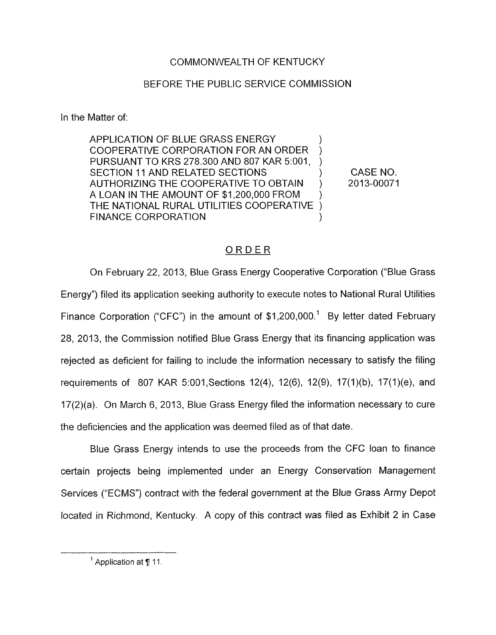## COMMONWEALTH OF KENTUCKY

## BEFORE THE PUBLIC SERVICE COMMISSION

In the Matter of

APPLICATION OF BLUE GRASS ENERGY COOPERATIVE CORPORATION FOR AN ORDER PURSUANT TO KRS 278.300 AND 807 KAR 5:001, SECTION 11 AND RELATED SECTIONS (SECTION AND CASE NO. A LOAN IN THE AMOUNT OF \$1,200,000 FROM ) THE NATIONAL RURAL UTILITIES COOPERATIVE 1 AUTHORIZING THE COOPERATIVE TO OBTAIN ) 2013-00071 FINANCE CORPORATION

## ORDER

On February 22, 2013, Blue Grass Energy Cooperative Corporation ("Blue Grass" Energy") filed its application seeking authority to execute notes to National Rural Utilities Finance Corporation ("CFC") in the amount of \$1,200,000.<sup>1</sup> By letter dated February 28, 2013, the Commission notified Blue Grass Energy that its financing application was rejected as deficient for failing to include the information necessary to satisfy the filing requirements of 807 KAR 5:001, Sections 12(4), 12(6), 12(9), 17(1)(b), 17(1)(e), and 17(2)(a). On March 6, 2013, Blue Grass Energy filed the information necessary to cure the deficiencies and the application was deemed filed as of that date.

Blue Grass Energy intends to use the proceeds from the CFC loan to finance certain projects being implemented under an Energy Conservation Management Services ("ECMS") contract with the federal government at the Blue Grass Army Depot located in Richmond, Kentucky. A copy of this contract was filed as Exhibit 2 in Case

Application *at* **7** 11 **<sup>1</sup>**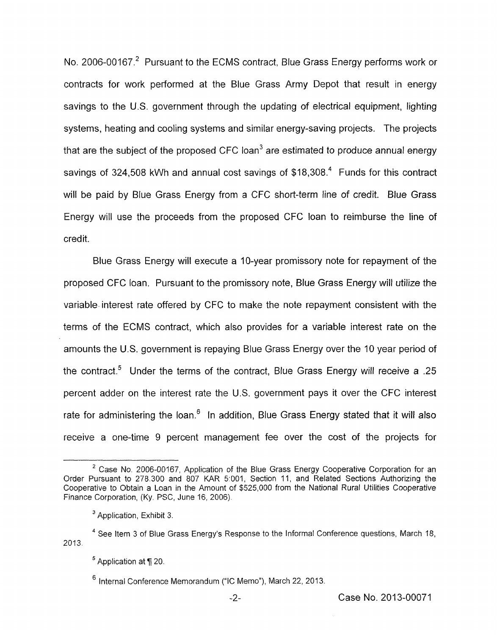No. 2006-00167.<sup>2</sup> Pursuant to the ECMS contract, Blue Grass Energy performs work or contracts for work performed at the Blue Grass Army Depot that result in energy savings to the U.S. government through the updating of electrical equipment, lighting systems, heating and cooling systems and similar energy-saving projects. The projects that are the subject of the proposed CFC loan<sup>3</sup> are estimated to produce annual energy savings of 324,508 kWh and annual cost savings of \$18,308.<sup>4</sup> Funds for this contract will be paid by Blue Grass Energy from a CFC short-term line of credit. Blue Grass Energy will use the proceeds from the proposed CFC loan to reimburse the line of credit.

Blue Grass Energy will execute a IO-year promissory note for repayment of the proposed CFC loan. Pursuant to the promissory note, Blue Grass Energy will utilize the variable interest rate offered by CFC to make the note repayment consistent with the terms of the ECMS contract, which also provides for a variable interest rate on the amounts the U.S. government is repaying Blue Grass Energy over the 10 year period of the contract.<sup>5</sup> Under the terms of the contract, Blue Grass Energy will receive a .25 percent adder on the interest rate the U.S. government pays it over the CFC interest rate for administering the loan.<sup>6</sup> In addition, Blue Grass Energy stated that it will also receive a one-time 9 percent management fee over the cost of the projects for

<sup>&</sup>lt;sup>2</sup> Case No. 2006-00167, Application of the Blue Grass Energy Cooperative Corporation for an Order Pursuant to 278 300 and 807 KAR 5.001, Section 11, and Related Sections Authorizing the Cooperative to Obtain a Loan in the Amount of \$525,000 from the National Rural Utilities cooperative Finance Corporation, **(Ky.** PSC, June 16, 2006).

<sup>&</sup>lt;sup>3</sup> Application, Exhibit 3.

<sup>&</sup>lt;sup>4</sup> See Item 3 of Blue Grass Energy's Response to the Informal Conference questions, March 18, 2013.

<sup>&</sup>lt;sup>5</sup> Application at ¶ 20.

 $<sup>6</sup>$  Internal Conference Memorandum ("IC Memo"), March 22, 2013.</sup>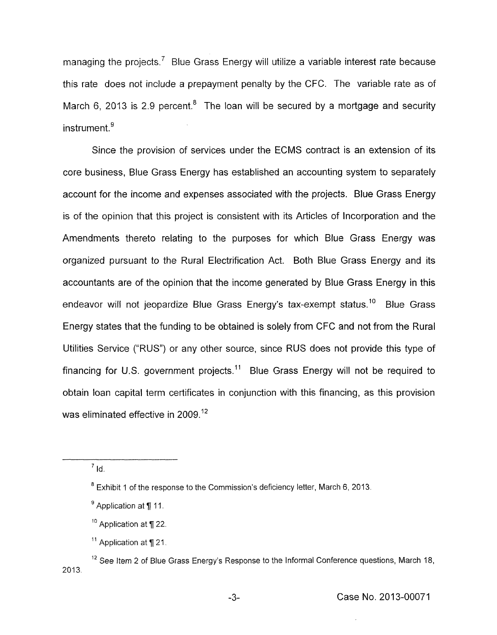managing the projects.<sup>7</sup> Blue Grass Energy will utilize a variable interest rate because this rate does not include a prepayment penalty by the CFC. The variable rate as of March 6, 2013 is 2.9 percent.<sup>8</sup> The loan will be secured by a mortgage and security  $instrument<sup>9</sup>$ 

Since the provision of services under the ECMS contract is an extension of its core business, Blue Grass Energy has established an accounting system to separately account for the income and expenses associated with the projects. Blue Grass Energy is of the opinion that this project is consistent with its Articles of Incorporation and the Amendments thereto relating to the purposes for which Blue Grass Energy was organized pursuant to the Rural Electrification Act. Both Blue Grass Energy and its accountants are of the opinion that the income generated by Blue Grass Energy in this endeavor will not jeopardize Blue Grass Energy's tax-exempt status.<sup>10</sup> Blue Grass Energy states that the funding to be obtained is solely from CFC and not from the Rural Utilities Service ("RUS") or any other source, since RUS does not provide this type of financing for U.S. government projects.<sup>11</sup> Blue Grass Energy will not be required to obtain loan capital term certificates in conjunction with this financing, as this provision was eliminated effective in 2009.<sup>12</sup>

 $<sup>7</sup>$  Id.</sup>

Exhibit 1 of the response to the Commission's deficiency letter, March 6, 2013. **8** 

Application at *fi* 11 **9** 

<sup>&</sup>lt;sup>10</sup> Application at ¶ 22.

<sup>&</sup>lt;sup>11</sup> Application at ¶ 21.

<sup>&</sup>lt;sup>12</sup> See Item 2 of Blue Grass Energy's Response to the Informal Conference questions, March 18, 2013.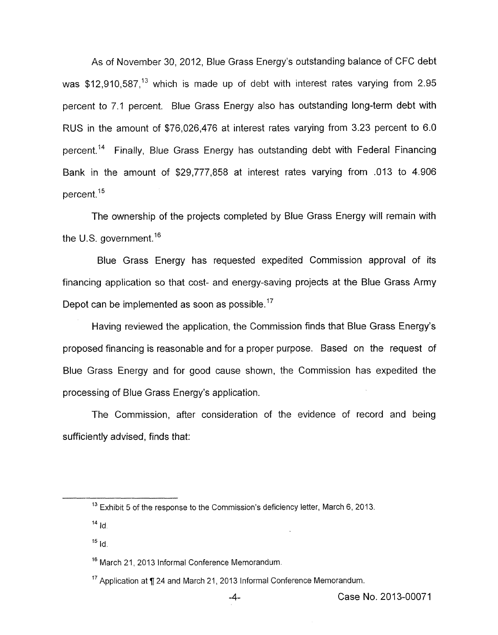As of November 30, 2012, Blue Grass Energy's outstanding balance of CFC debt was  $$12,910,587$ ,<sup>13</sup> which is made up of debt with interest rates varying from 2.95 percent to 7.1 percent. Blue Grass Energy also has outstanding long-term debt with RUS in the amount of \$76,026,476 at interest rates varying from 3.23 percent to 6.0 percent.<sup>14</sup> Finally, Blue Grass Energy has outstanding debt with Federal Financing Bank in the amount of \$29,777,858 at interest rates varying from .013 to 4.906 percent.<sup>15</sup>

The ownership of the projects completed by Blue Grass Energy will remain with the U.S. government.<sup>16</sup>

Blue Grass Energy has requested expedited Commission approval of its financing application so that cost- and energy-saving projects at the Blue Grass Army Depot can be implemented as soon as possible.<sup>17</sup>

Having reviewed the application, the Commission finds that Blue Grass Energy's proposed financing is reasonable and for a proper purpose. Based on the request of Blue Grass Energy and for good cause shown, the Commission has expedited the processing of Blue Grass Energy's application.

The Commission, after consideration of the evidence of record and being sufficiently advised, finds that:

<sup>&</sup>lt;sup>13</sup> Exhibit 5 of the response to the Commission's deficiency letter, March 6, 2013.

 $14$   $\frac{1}{4}$ 

Id. **15** 

<sup>&</sup>lt;sup>16</sup> March 21, 2013 Informal Conference Memorandum.

 $17$  Application at ¶ 24 and March 21, 2013 Informal Conference Memorandum.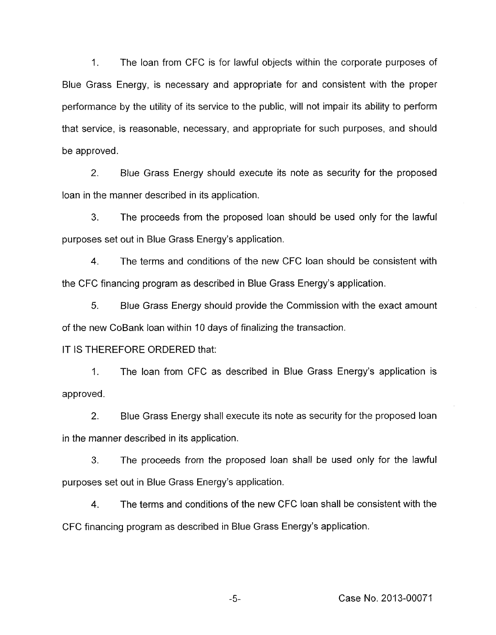1. The loan from CFC is for lawful objects within the corporate purposes of Blue Grass Energy, is necessary and appropriate for and consistent with the proper performance by the utility of its service to the public, will not impair its ability to perform that service, is reasonable, necessary, and appropriate for such purposes, and should be approved.

2. Blue Grass Energy should execute its note as security for the proposed loan in the manner described in its application.

3. The proceeds from the proposed loan should be used only for the lawful purposes set out in Blue Grass Energy's application.

4. The terms and conditions of the new CFC loan should be consistent with the CFC financing program as described in Blue Grass Energy's application.

*5.* Blue Grass Energy should provide the Commission with the exact amount of the new CoBank loan within 10 days of finalizing the transaction.

## IT IS THEREFORE ORDERED that:

1. The loan from CFC as described in Blue Grass Energy's application is approved.

2. Blue Grass Energy shall execute its note as security for the proposed loan in the manner described in its application.

**3.** The proceeds from the proposed loan shall be used only for the lawful purposes set out in Blue Grass Energy's application.

4. The terms and conditions of the new CFC loan shall be consistent with the CFC financing program as described in Blue Grass Energy's application.

-5- Case No. 2013-00071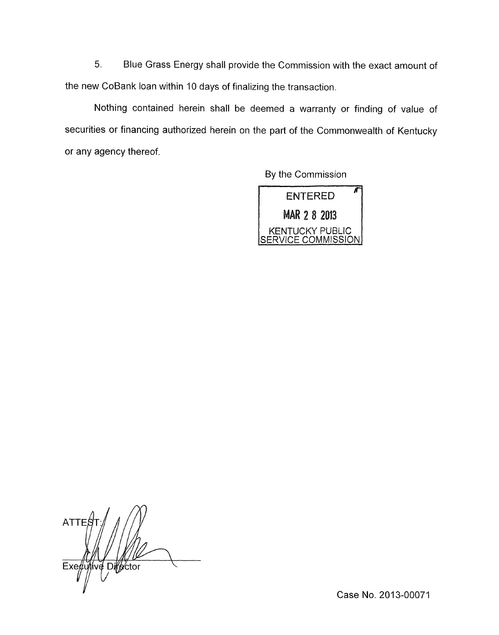5. Blue Grass Energy shall provide the Commission with the exact amount of the new CoBank loan within 10 days of finalizing the transaction.

Nothing contained herein shall be deemed a warranty or finding of value of securities or financing authorized herein on the part of the Commonwealth of Kentucky or any agency thereof.

By the Commission



**ATTE** ive Difector  $Ex$ e $\not\in$ u

Case No. 2013-00071